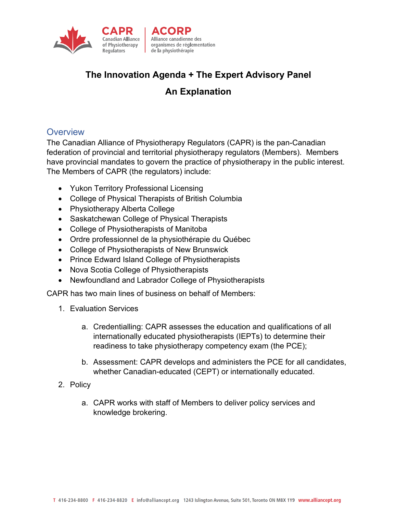

# **The Innovation Agenda + The Expert Advisory Panel**

# **An Explanation**

## **Overview**

The Canadian Alliance of Physiotherapy Regulators (CAPR) is the pan-Canadian federation of provincial and territorial physiotherapy regulators (Members). Members have provincial mandates to govern the practice of physiotherapy in the public interest. The Members of CAPR (the regulators) include:

- Yukon Territory Professional Licensing
- College of Physical Therapists of British Columbia
- Physiotherapy Alberta College
- Saskatchewan College of Physical Therapists
- College of Physiotherapists of Manitoba
- Ordre professionnel de la physiothérapie du Québec
- College of Physiotherapists of New Brunswick
- Prince Edward Island College of Physiotherapists
- Nova Scotia College of Physiotherapists
- Newfoundland and Labrador College of Physiotherapists

CAPR has two main lines of business on behalf of Members:

- 1. Evaluation Services
	- a. Credentialling: CAPR assesses the education and qualifications of all internationally educated physiotherapists (IEPTs) to determine their readiness to take physiotherapy competency exam (the PCE);
	- b. Assessment: CAPR develops and administers the PCE for all candidates, whether Canadian-educated (CEPT) or internationally educated.
- 2. Policy
	- a. CAPR works with staff of Members to deliver policy services and knowledge brokering.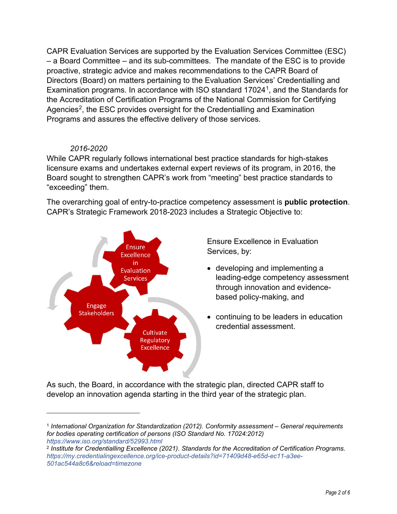CAPR Evaluation Services are supported by the Evaluation Services Committee (ESC) – a Board Committee – and its sub-committees. The mandate of the ESC is to provide proactive, strategic advice and makes recommendations to the CAPR Board of Directors (Board) on matters pertaining to the Evaluation Services' Credentialling and Examination programs. In accordance with ISO standard  $17024<sup>1</sup>$ , and the Standards for the Accreditation of Certification Programs of the National Commission for Certifying Agencies<sup>[2](#page-1-1)</sup>, the ESC provides oversight for the Credentialling and Examination Programs and assures the effective delivery of those services.

#### *2016-2020*

While CAPR regularly follows international best practice standards for high-stakes licensure exams and undertakes external expert reviews of its program, in 2016, the Board sought to strengthen CAPR's work from "meeting" best practice standards to "exceeding" them.

The overarching goal of entry-to-practice competency assessment is **public protection**. CAPR's Strategic Framework 2018-2023 includes a Strategic Objective to:



Ensure Excellence in Evaluation Services, by:

- developing and implementing a leading-edge competency assessment through innovation and evidencebased policy-making, and
- continuing to be leaders in education credential assessment.

As such, the Board, in accordance with the strategic plan, directed CAPR staff to develop an innovation agenda starting in the third year of the strategic plan.

<span id="page-1-0"></span><sup>1</sup> *International Organization for Standardization (2012). Conformity assessment – General requirements for bodies operating certification of persons (ISO Standard No. 17024:2012) <https://www.iso.org/standard/52993.html>*

<span id="page-1-1"></span><sup>2</sup> *Institute for Credentialling Excellence (2021). Standards for the Accreditation of Certification Programs. [https://my.credentialingexcellence.org/ice-product-details?id=71409d48-e65d-ec11-a3ee-](https://my.credentialingexcellence.org/ice-product-details?id=71409d48-e65d-ec11-a3ee-501ac544a8c6&reload=timezone)[501ac544a8c6&reload=timezone](https://my.credentialingexcellence.org/ice-product-details?id=71409d48-e65d-ec11-a3ee-501ac544a8c6&reload=timezone)*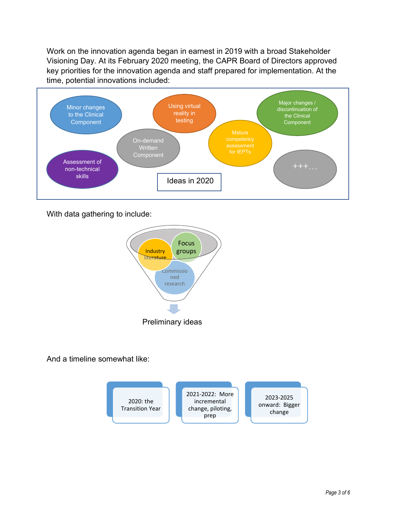Work on the innovation agenda began in earnest in 2019 with a broad Stakeholder Visioning Day. At its February 2020 meeting, the CAPR Board of Directors approved key priorities for the innovation agenda and staff prepared for implementation. At the time, potential innovations included:



With data gathering to include:



And a timeline somewhat like:

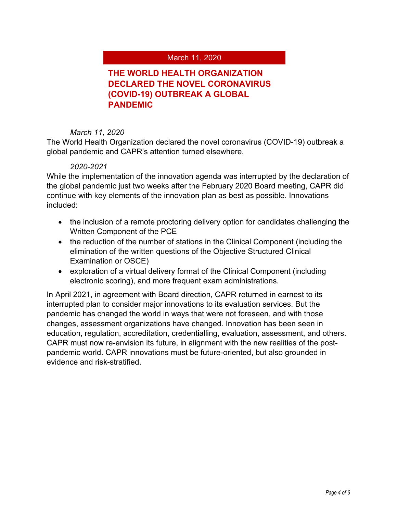#### March 11, 2020

## **THE WORLD HEALTH ORGANIZATION DECLARED THE NOVEL CORONAVIRUS (COVID-19) OUTBREAK A GLOBAL PANDEMIC**

#### *March 11, 2020*

The World Health Organization declared the novel coronavirus (COVID-19) outbreak a global pandemic and CAPR's attention turned elsewhere.

#### *2020-2021*

While the implementation of the innovation agenda was interrupted by the declaration of the global pandemic just two weeks after the February 2020 Board meeting, CAPR did continue with key elements of the innovation plan as best as possible. Innovations included:

- the inclusion of a remote proctoring delivery option for candidates challenging the Written Component of the PCE
- the reduction of the number of stations in the Clinical Component (including the elimination of the written questions of the Objective Structured Clinical Examination or OSCE)
- exploration of a virtual delivery format of the Clinical Component (including electronic scoring), and more frequent exam administrations.

In April 2021, in agreement with Board direction, CAPR returned in earnest to its interrupted plan to consider major innovations to its evaluation services. But the pandemic has changed the world in ways that were not foreseen, and with those changes, assessment organizations have changed. Innovation has been seen in education, regulation, accreditation, credentialling, evaluation, assessment, and others. CAPR must now re-envision its future, in alignment with the new realities of the postpandemic world. CAPR innovations must be future-oriented, but also grounded in evidence and risk-stratified.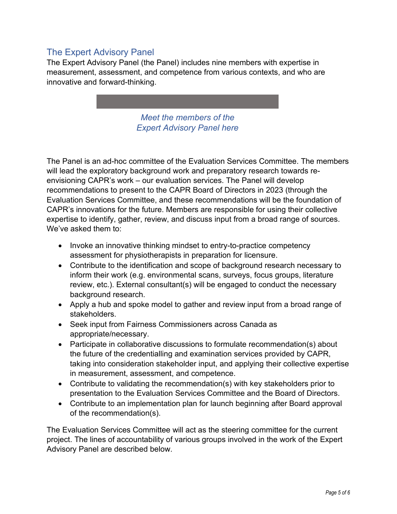# The Expert Advisory Panel

The Expert Advisory Panel (the Panel) includes nine members with expertise in measurement, assessment, and competence from various contexts, and who are innovative and forward-thinking.

> *[Meet the members of the](https://www.alliancept.org/about-capr/innovation-agenda/expert-advisory-panel/)  [Expert Advisory Panel here](https://www.alliancept.org/about-capr/innovation-agenda/expert-advisory-panel/)*

The Panel is an ad-hoc committee of the Evaluation Services Committee. The members will lead the exploratory background work and preparatory research towards reenvisioning CAPR's work – our evaluation services. The Panel will develop recommendations to present to the CAPR Board of Directors in 2023 (through the Evaluation Services Committee, and these recommendations will be the foundation of CAPR's innovations for the future. Members are responsible for using their collective expertise to identify, gather, review, and discuss input from a broad range of sources. We've asked them to:

- Invoke an innovative thinking mindset to entry-to-practice competency assessment for physiotherapists in preparation for licensure.
- Contribute to the identification and scope of background research necessary to inform their work (e.g. environmental scans, surveys, focus groups, literature review, etc.). External consultant(s) will be engaged to conduct the necessary background research.
- Apply a hub and spoke model to gather and review input from a broad range of stakeholders.
- Seek input from Fairness Commissioners across Canada as appropriate/necessary.
- Participate in collaborative discussions to formulate recommendation(s) about the future of the credentialling and examination services provided by CAPR, taking into consideration stakeholder input, and applying their collective expertise in measurement, assessment, and competence.
- Contribute to validating the recommendation(s) with key stakeholders prior to presentation to the Evaluation Services Committee and the Board of Directors.
- Contribute to an implementation plan for launch beginning after Board approval of the recommendation(s).

The Evaluation Services Committee will act as the steering committee for the current project. The lines of accountability of various groups involved in the work of the Expert Advisory Panel are described below.